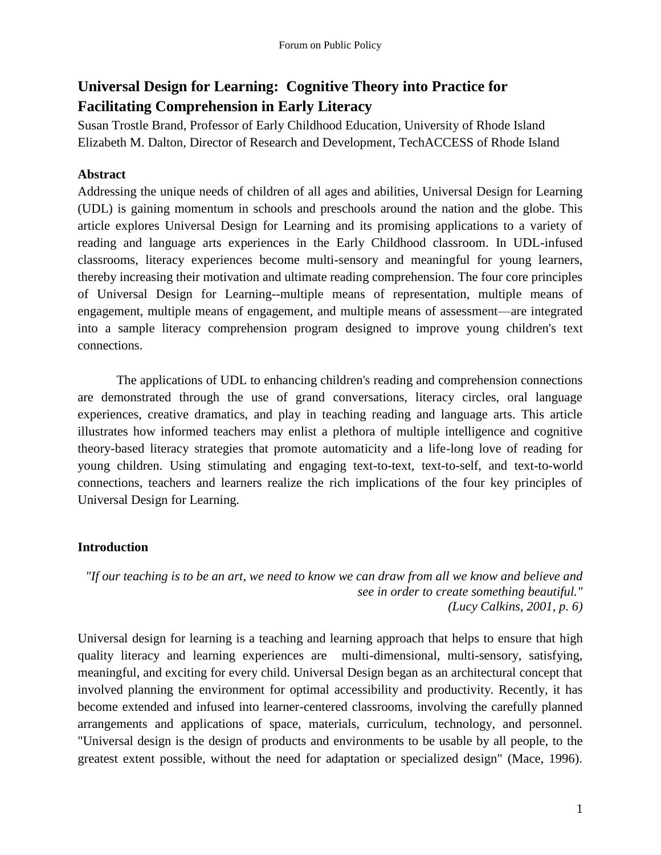# **Universal Design for Learning: Cognitive Theory into Practice for Facilitating Comprehension in Early Literacy**

Susan Trostle Brand, Professor of Early Childhood Education, University of Rhode Island Elizabeth M. Dalton, Director of Research and Development, TechACCESS of Rhode Island

# **Abstract**

Addressing the unique needs of children of all ages and abilities, Universal Design for Learning (UDL) is gaining momentum in schools and preschools around the nation and the globe. This article explores Universal Design for Learning and its promising applications to a variety of reading and language arts experiences in the Early Childhood classroom. In UDL-infused classrooms, literacy experiences become multi-sensory and meaningful for young learners, thereby increasing their motivation and ultimate reading comprehension. The four core principles of Universal Design for Learning--multiple means of representation, multiple means of engagement, multiple means of engagement, and multiple means of assessment—are integrated into a sample literacy comprehension program designed to improve young children's text connections.

The applications of UDL to enhancing children's reading and comprehension connections are demonstrated through the use of grand conversations, literacy circles, oral language experiences, creative dramatics, and play in teaching reading and language arts. This article illustrates how informed teachers may enlist a plethora of multiple intelligence and cognitive theory-based literacy strategies that promote automaticity and a life-long love of reading for young children. Using stimulating and engaging text-to-text, text-to-self, and text-to-world connections, teachers and learners realize the rich implications of the four key principles of Universal Design for Learning.

# **Introduction**

*"If our teaching is to be an art, we need to know we can draw from all we know and believe and see in order to create something beautiful." (Lucy Calkins, 2001, p. 6)*

Universal design for learning is a teaching and learning approach that helps to ensure that high quality literacy and learning experiences are multi-dimensional, multi-sensory, satisfying, meaningful, and exciting for every child. Universal Design began as an architectural concept that involved planning the environment for optimal accessibility and productivity. Recently, it has become extended and infused into learner-centered classrooms, involving the carefully planned arrangements and applications of space, materials, curriculum, technology, and personnel. "Universal design is the design of products and environments to be usable by all people, to the greatest extent possible, without the need for adaptation or specialized design" (Mace, 1996).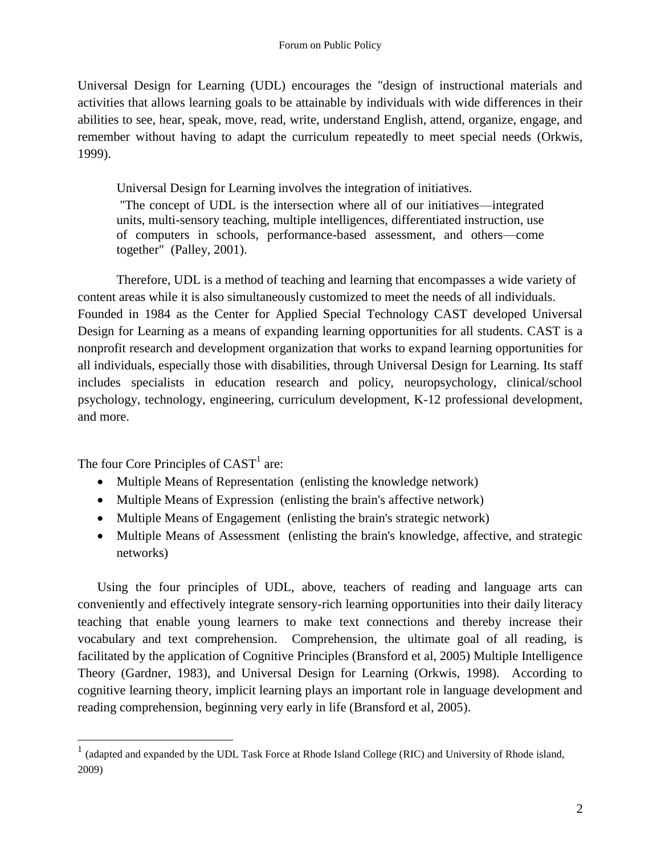Universal Design for Learning (UDL) encourages the "design of instructional materials and activities that allows learning goals to be attainable by individuals with wide differences in their abilities to see, hear, speak, move, read, write, understand English, attend, organize, engage, and remember without having to adapt the curriculum repeatedly to meet special needs (Orkwis, 1999).

Universal Design for Learning involves the integration of initiatives.

"The concept of UDL is the intersection where all of our initiatives—integrated units, multi-sensory teaching, multiple intelligences, differentiated instruction, use of computers in schools, performance-based assessment, and others—come together" (Palley, 2001).

Therefore, UDL is a method of teaching and learning that encompasses a wide variety of content areas while it is also simultaneously customized to meet the needs of all individuals. Founded in 1984 as the Center for Applied Special Technology CAST developed Universal Design for Learning as a means of expanding learning opportunities for all students. CAST is a nonprofit research and development organization that works to expand learning opportunities for all individuals, especially those with disabilities, through Universal Design for Learning. Its staff includes specialists in education research and policy, neuropsychology, clinical/school psychology, technology, engineering, curriculum development, K-12 professional development, and more.

The four Core Principles of  $CAST<sup>1</sup>$  are:

 $\overline{a}$ 

- Multiple Means of Representation (enlisting the knowledge network)
- Multiple Means of Expression (enlisting the brain's affective network)
- Multiple Means of Engagement (enlisting the brain's strategic network)
- Multiple Means of Assessment (enlisting the brain's knowledge, affective, and strategic networks)

Using the four principles of UDL, above, teachers of reading and language arts can conveniently and effectively integrate sensory-rich learning opportunities into their daily literacy teaching that enable young learners to make text connections and thereby increase their vocabulary and text comprehension. Comprehension, the ultimate goal of all reading, is facilitated by the application of Cognitive Principles (Bransford et al, 2005) Multiple Intelligence Theory (Gardner, 1983), and Universal Design for Learning (Orkwis, 1998). According to cognitive learning theory, implicit learning plays an important role in language development and reading comprehension, beginning very early in life (Bransford et al, 2005).

 $1$  (adapted and expanded by the UDL Task Force at Rhode Island College (RIC) and University of Rhode island, 2009)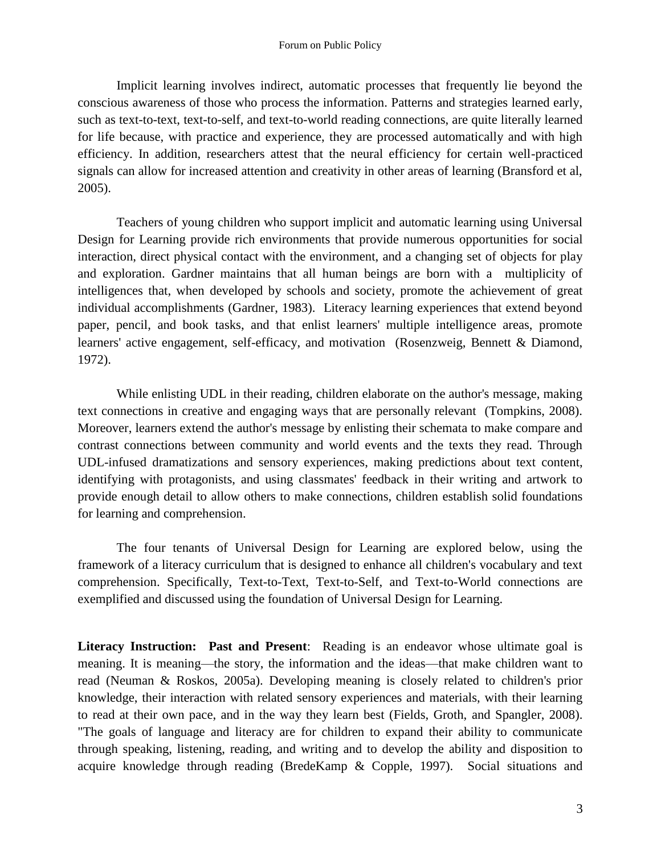Implicit learning involves indirect, automatic processes that frequently lie beyond the conscious awareness of those who process the information. Patterns and strategies learned early, such as text-to-text, text-to-self, and text-to-world reading connections, are quite literally learned for life because, with practice and experience, they are processed automatically and with high efficiency. In addition, researchers attest that the neural efficiency for certain well-practiced signals can allow for increased attention and creativity in other areas of learning (Bransford et al, 2005).

Teachers of young children who support implicit and automatic learning using Universal Design for Learning provide rich environments that provide numerous opportunities for social interaction, direct physical contact with the environment, and a changing set of objects for play and exploration. Gardner maintains that all human beings are born with a multiplicity of intelligences that, when developed by schools and society, promote the achievement of great individual accomplishments (Gardner, 1983). Literacy learning experiences that extend beyond paper, pencil, and book tasks, and that enlist learners' multiple intelligence areas, promote learners' active engagement, self-efficacy, and motivation (Rosenzweig, Bennett & Diamond, 1972).

While enlisting UDL in their reading, children elaborate on the author's message, making text connections in creative and engaging ways that are personally relevant (Tompkins, 2008). Moreover, learners extend the author's message by enlisting their schemata to make compare and contrast connections between community and world events and the texts they read. Through UDL-infused dramatizations and sensory experiences, making predictions about text content, identifying with protagonists, and using classmates' feedback in their writing and artwork to provide enough detail to allow others to make connections, children establish solid foundations for learning and comprehension.

The four tenants of Universal Design for Learning are explored below, using the framework of a literacy curriculum that is designed to enhance all children's vocabulary and text comprehension. Specifically, Text-to-Text, Text-to-Self, and Text-to-World connections are exemplified and discussed using the foundation of Universal Design for Learning.

Literacy Instruction: Past and Present: Reading is an endeavor whose ultimate goal is meaning. It is meaning—the story, the information and the ideas—that make children want to read (Neuman & Roskos, 2005a). Developing meaning is closely related to children's prior knowledge, their interaction with related sensory experiences and materials, with their learning to read at their own pace, and in the way they learn best (Fields, Groth, and Spangler, 2008). "The goals of language and literacy are for children to expand their ability to communicate through speaking, listening, reading, and writing and to develop the ability and disposition to acquire knowledge through reading (BredeKamp & Copple, 1997). Social situations and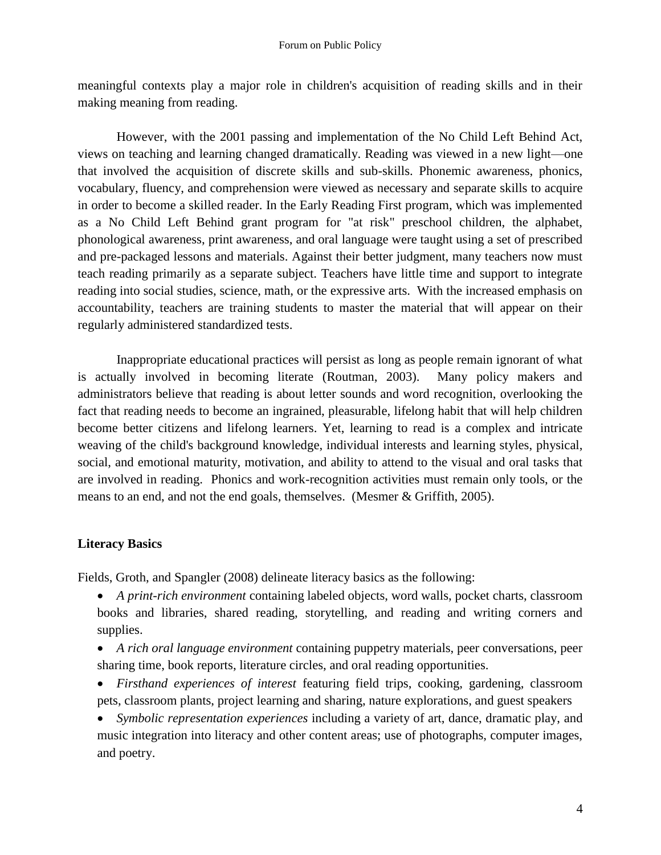meaningful contexts play a major role in children's acquisition of reading skills and in their making meaning from reading.

However, with the 2001 passing and implementation of the No Child Left Behind Act, views on teaching and learning changed dramatically. Reading was viewed in a new light—one that involved the acquisition of discrete skills and sub-skills. Phonemic awareness, phonics, vocabulary, fluency, and comprehension were viewed as necessary and separate skills to acquire in order to become a skilled reader. In the Early Reading First program, which was implemented as a No Child Left Behind grant program for "at risk" preschool children, the alphabet, phonological awareness, print awareness, and oral language were taught using a set of prescribed and pre-packaged lessons and materials. Against their better judgment, many teachers now must teach reading primarily as a separate subject. Teachers have little time and support to integrate reading into social studies, science, math, or the expressive arts. With the increased emphasis on accountability, teachers are training students to master the material that will appear on their regularly administered standardized tests.

Inappropriate educational practices will persist as long as people remain ignorant of what is actually involved in becoming literate (Routman, 2003). Many policy makers and administrators believe that reading is about letter sounds and word recognition, overlooking the fact that reading needs to become an ingrained, pleasurable, lifelong habit that will help children become better citizens and lifelong learners. Yet, learning to read is a complex and intricate weaving of the child's background knowledge, individual interests and learning styles, physical, social, and emotional maturity, motivation, and ability to attend to the visual and oral tasks that are involved in reading. Phonics and work-recognition activities must remain only tools, or the means to an end, and not the end goals, themselves. (Mesmer & Griffith, 2005).

# **Literacy Basics**

Fields, Groth, and Spangler (2008) delineate literacy basics as the following:

- *A print-rich environment* containing labeled objects, word walls, pocket charts, classroom books and libraries, shared reading, storytelling, and reading and writing corners and supplies.
- *A rich oral language environment* containing puppetry materials, peer conversations, peer sharing time, book reports, literature circles, and oral reading opportunities.
- *Firsthand experiences of interest* featuring field trips, cooking, gardening, classroom pets, classroom plants, project learning and sharing, nature explorations, and guest speakers
- *Symbolic representation experiences* including a variety of art, dance, dramatic play, and music integration into literacy and other content areas; use of photographs, computer images, and poetry.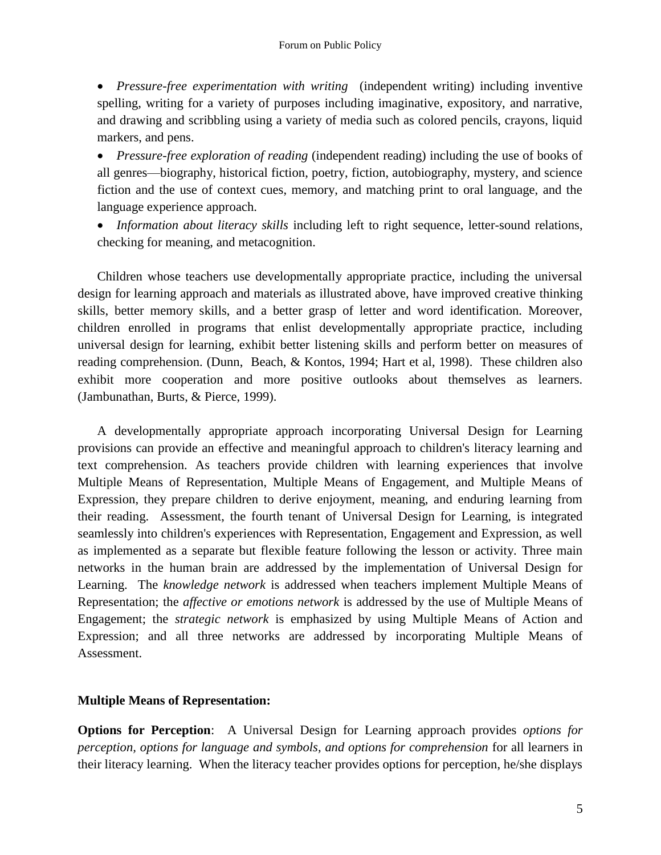*Pressure-free experimentation with writing* (independent writing) including inventive spelling, writing for a variety of purposes including imaginative, expository, and narrative, and drawing and scribbling using a variety of media such as colored pencils, crayons, liquid markers, and pens.

 *Pressure-free exploration of reading* (independent reading) including the use of books of all genres—biography, historical fiction, poetry, fiction, autobiography, mystery, and science fiction and the use of context cues, memory, and matching print to oral language, and the language experience approach.

 *Information about literacy skills* including left to right sequence, letter-sound relations, checking for meaning, and metacognition.

Children whose teachers use developmentally appropriate practice, including the universal design for learning approach and materials as illustrated above, have improved creative thinking skills, better memory skills, and a better grasp of letter and word identification. Moreover, children enrolled in programs that enlist developmentally appropriate practice, including universal design for learning, exhibit better listening skills and perform better on measures of reading comprehension. (Dunn, Beach, & Kontos, 1994; Hart et al, 1998). These children also exhibit more cooperation and more positive outlooks about themselves as learners. (Jambunathan, Burts, & Pierce, 1999).

A developmentally appropriate approach incorporating Universal Design for Learning provisions can provide an effective and meaningful approach to children's literacy learning and text comprehension. As teachers provide children with learning experiences that involve Multiple Means of Representation, Multiple Means of Engagement, and Multiple Means of Expression, they prepare children to derive enjoyment, meaning, and enduring learning from their reading. Assessment, the fourth tenant of Universal Design for Learning, is integrated seamlessly into children's experiences with Representation, Engagement and Expression, as well as implemented as a separate but flexible feature following the lesson or activity. Three main networks in the human brain are addressed by the implementation of Universal Design for Learning. The *knowledge network* is addressed when teachers implement Multiple Means of Representation; the *affective or emotions network* is addressed by the use of Multiple Means of Engagement; the *strategic network* is emphasized by using Multiple Means of Action and Expression; and all three networks are addressed by incorporating Multiple Means of Assessment.

# **Multiple Means of Representation:**

**Options for Perception**: A Universal Design for Learning approach provides *options for perception, options for language and symbols, and options for comprehension* for all learners in their literacy learning. When the literacy teacher provides options for perception, he/she displays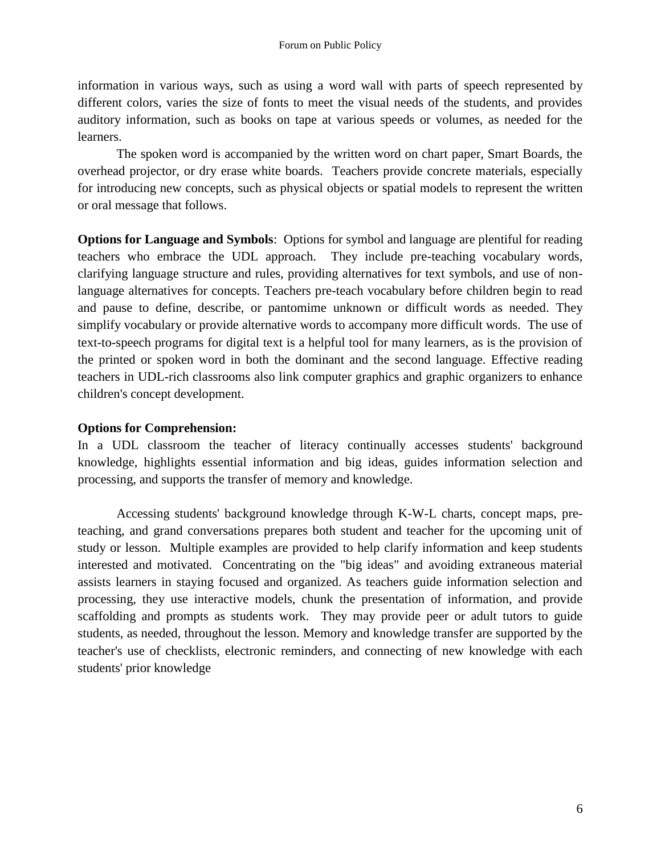information in various ways, such as using a word wall with parts of speech represented by different colors, varies the size of fonts to meet the visual needs of the students, and provides auditory information, such as books on tape at various speeds or volumes, as needed for the learners.

The spoken word is accompanied by the written word on chart paper, Smart Boards, the overhead projector, or dry erase white boards. Teachers provide concrete materials, especially for introducing new concepts, such as physical objects or spatial models to represent the written or oral message that follows.

**Options for Language and Symbols**: Options for symbol and language are plentiful for reading teachers who embrace the UDL approach. They include pre-teaching vocabulary words, clarifying language structure and rules, providing alternatives for text symbols, and use of nonlanguage alternatives for concepts. Teachers pre-teach vocabulary before children begin to read and pause to define, describe, or pantomime unknown or difficult words as needed. They simplify vocabulary or provide alternative words to accompany more difficult words. The use of text-to-speech programs for digital text is a helpful tool for many learners, as is the provision of the printed or spoken word in both the dominant and the second language. Effective reading teachers in UDL-rich classrooms also link computer graphics and graphic organizers to enhance children's concept development.

# **Options for Comprehension:**

In a UDL classroom the teacher of literacy continually accesses students' background knowledge, highlights essential information and big ideas, guides information selection and processing, and supports the transfer of memory and knowledge.

Accessing students' background knowledge through K-W-L charts, concept maps, preteaching, and grand conversations prepares both student and teacher for the upcoming unit of study or lesson. Multiple examples are provided to help clarify information and keep students interested and motivated. Concentrating on the "big ideas" and avoiding extraneous material assists learners in staying focused and organized. As teachers guide information selection and processing, they use interactive models, chunk the presentation of information, and provide scaffolding and prompts as students work. They may provide peer or adult tutors to guide students, as needed, throughout the lesson. Memory and knowledge transfer are supported by the teacher's use of checklists, electronic reminders, and connecting of new knowledge with each students' prior knowledge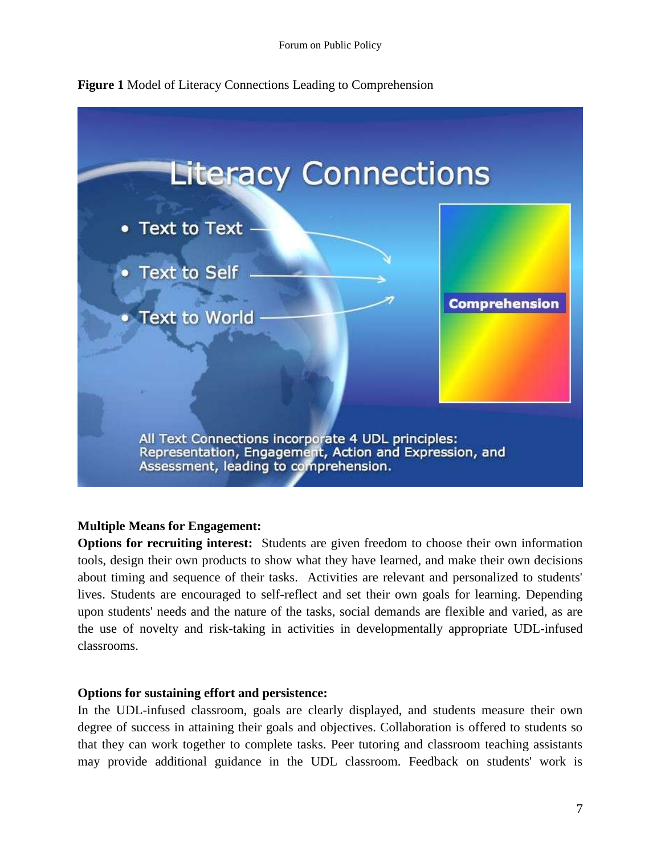



# **Multiple Means for Engagement:**

**Options for recruiting interest:** Students are given freedom to choose their own information tools, design their own products to show what they have learned, and make their own decisions about timing and sequence of their tasks. Activities are relevant and personalized to students' lives. Students are encouraged to self-reflect and set their own goals for learning. Depending upon students' needs and the nature of the tasks, social demands are flexible and varied, as are the use of novelty and risk-taking in activities in developmentally appropriate UDL-infused classrooms.

#### **Options for sustaining effort and persistence:**

In the UDL-infused classroom, goals are clearly displayed, and students measure their own degree of success in attaining their goals and objectives. Collaboration is offered to students so that they can work together to complete tasks. Peer tutoring and classroom teaching assistants may provide additional guidance in the UDL classroom. Feedback on students' work is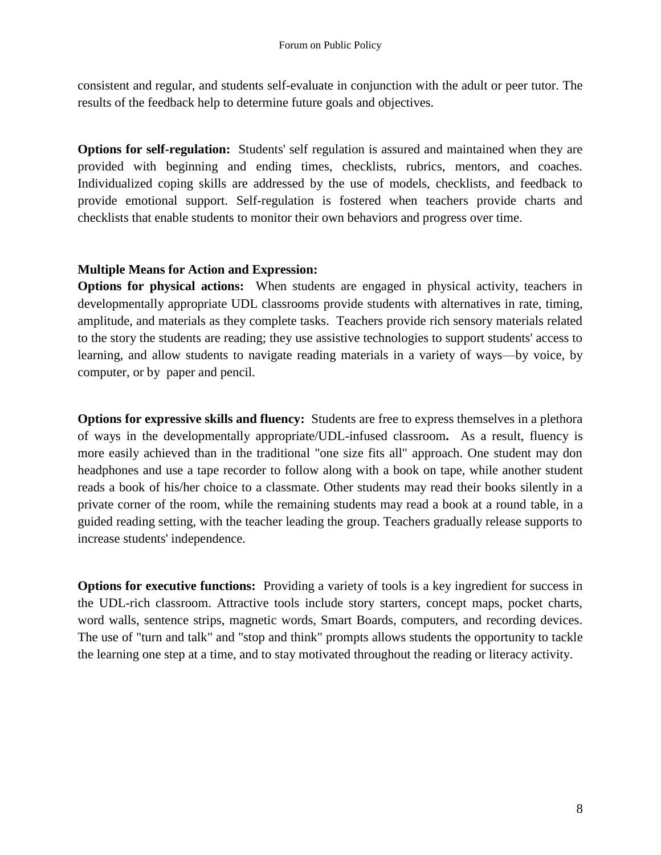consistent and regular, and students self-evaluate in conjunction with the adult or peer tutor. The results of the feedback help to determine future goals and objectives.

**Options for self-regulation:** Students' self regulation is assured and maintained when they are provided with beginning and ending times, checklists, rubrics, mentors, and coaches. Individualized coping skills are addressed by the use of models, checklists, and feedback to provide emotional support. Self-regulation is fostered when teachers provide charts and checklists that enable students to monitor their own behaviors and progress over time.

# **Multiple Means for Action and Expression:**

**Options for physical actions:** When students are engaged in physical activity, teachers in developmentally appropriate UDL classrooms provide students with alternatives in rate, timing, amplitude, and materials as they complete tasks. Teachers provide rich sensory materials related to the story the students are reading; they use assistive technologies to support students' access to learning, and allow students to navigate reading materials in a variety of ways—by voice, by computer, or by paper and pencil.

**Options for expressive skills and fluency:** Students are free to express themselves in a plethora of ways in the developmentally appropriate/UDL-infused classroom**.** As a result, fluency is more easily achieved than in the traditional "one size fits all" approach. One student may don headphones and use a tape recorder to follow along with a book on tape, while another student reads a book of his/her choice to a classmate. Other students may read their books silently in a private corner of the room, while the remaining students may read a book at a round table, in a guided reading setting, with the teacher leading the group. Teachers gradually release supports to increase students' independence.

**Options for executive functions:** Providing a variety of tools is a key ingredient for success in the UDL-rich classroom. Attractive tools include story starters, concept maps, pocket charts, word walls, sentence strips, magnetic words, Smart Boards, computers, and recording devices. The use of "turn and talk" and "stop and think" prompts allows students the opportunity to tackle the learning one step at a time, and to stay motivated throughout the reading or literacy activity.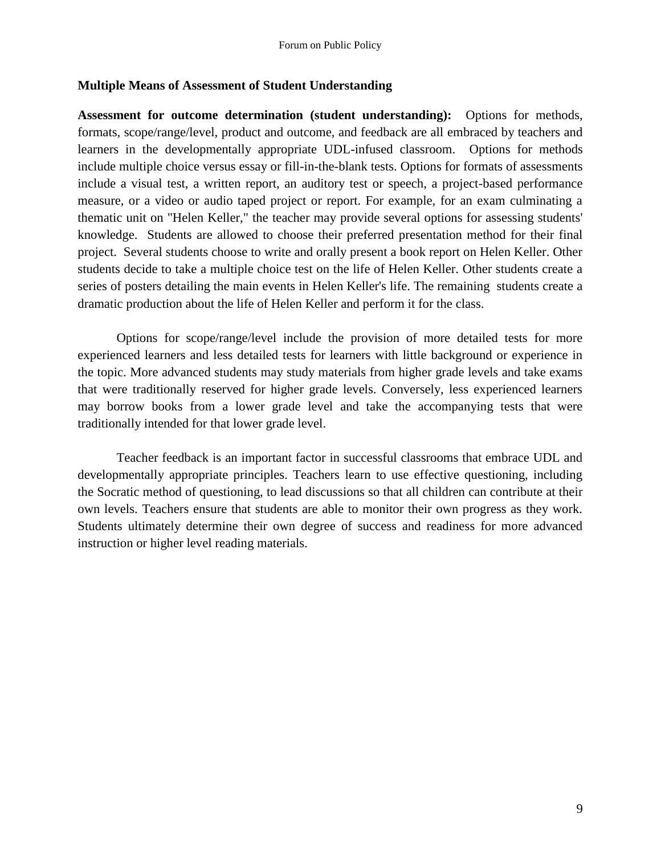#### **Multiple Means of Assessment of Student Understanding**

**Assessment for outcome determination (student understanding):** Options for methods, formats, scope/range/level, product and outcome, and feedback are all embraced by teachers and learners in the developmentally appropriate UDL-infused classroom. Options for methods include multiple choice versus essay or fill-in-the-blank tests. Options for formats of assessments include a visual test, a written report, an auditory test or speech, a project-based performance measure, or a video or audio taped project or report. For example, for an exam culminating a thematic unit on "Helen Keller," the teacher may provide several options for assessing students' knowledge. Students are allowed to choose their preferred presentation method for their final project. Several students choose to write and orally present a book report on Helen Keller. Other students decide to take a multiple choice test on the life of Helen Keller. Other students create a series of posters detailing the main events in Helen Keller's life. The remaining students create a dramatic production about the life of Helen Keller and perform it for the class.

Options for scope/range/level include the provision of more detailed tests for more experienced learners and less detailed tests for learners with little background or experience in the topic. More advanced students may study materials from higher grade levels and take exams that were traditionally reserved for higher grade levels. Conversely, less experienced learners may borrow books from a lower grade level and take the accompanying tests that were traditionally intended for that lower grade level.

Teacher feedback is an important factor in successful classrooms that embrace UDL and developmentally appropriate principles. Teachers learn to use effective questioning, including the Socratic method of questioning, to lead discussions so that all children can contribute at their own levels. Teachers ensure that students are able to monitor their own progress as they work. Students ultimately determine their own degree of success and readiness for more advanced instruction or higher level reading materials.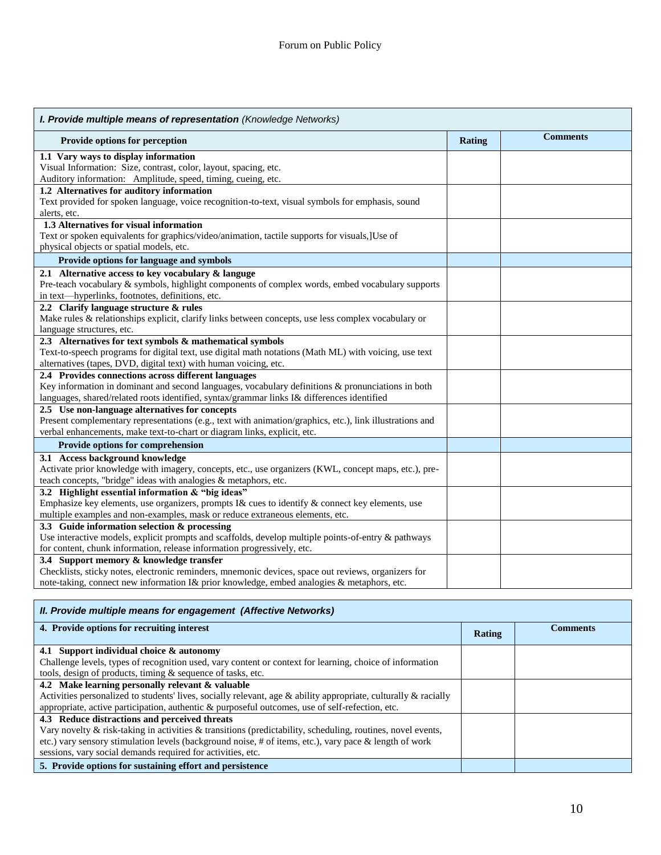| I. Provide multiple means of representation (Knowledge Networks)                                         |               |                 |  |
|----------------------------------------------------------------------------------------------------------|---------------|-----------------|--|
| Provide options for perception                                                                           | <b>Rating</b> | <b>Comments</b> |  |
| 1.1 Vary ways to display information                                                                     |               |                 |  |
| Visual Information: Size, contrast, color, layout, spacing, etc.                                         |               |                 |  |
| Auditory information: Amplitude, speed, timing, cueing, etc.                                             |               |                 |  |
| 1.2 Alternatives for auditory information                                                                |               |                 |  |
| Text provided for spoken language, voice recognition-to-text, visual symbols for emphasis, sound         |               |                 |  |
| alerts, etc.                                                                                             |               |                 |  |
| 1.3 Alternatives for visual information                                                                  |               |                 |  |
| Text or spoken equivalents for graphics/video/animation, tactile supports for visuals, [Use of           |               |                 |  |
| physical objects or spatial models, etc.                                                                 |               |                 |  |
| Provide options for language and symbols                                                                 |               |                 |  |
| 2.1 Alternative access to key vocabulary & languge                                                       |               |                 |  |
| Pre-teach vocabulary & symbols, highlight components of complex words, embed vocabulary supports         |               |                 |  |
| in text-hyperlinks, footnotes, definitions, etc.                                                         |               |                 |  |
| 2.2 Clarify language structure & rules                                                                   |               |                 |  |
| Make rules & relationships explicit, clarify links between concepts, use less complex vocabulary or      |               |                 |  |
| language structures, etc.                                                                                |               |                 |  |
| 2.3 Alternatives for text symbols & mathematical symbols                                                 |               |                 |  |
| Text-to-speech programs for digital text, use digital math notations (Math ML) with voicing, use text    |               |                 |  |
| alternatives (tapes, DVD, digital text) with human voicing, etc.                                         |               |                 |  |
| 2.4 Provides connections across different languages                                                      |               |                 |  |
| Key information in dominant and second languages, vocabulary definitions & pronunciations in both        |               |                 |  |
| languages, shared/related roots identified, syntax/grammar links I& differences identified               |               |                 |  |
| 2.5 Use non-language alternatives for concepts                                                           |               |                 |  |
| Present complementary representations (e.g., text with animation/graphics, etc.), link illustrations and |               |                 |  |
| verbal enhancements, make text-to-chart or diagram links, explicit, etc.                                 |               |                 |  |
| Provide options for comprehension                                                                        |               |                 |  |
| 3.1 Access background knowledge                                                                          |               |                 |  |
| Activate prior knowledge with imagery, concepts, etc., use organizers (KWL, concept maps, etc.), pre-    |               |                 |  |
| teach concepts, "bridge" ideas with analogies & metaphors, etc.                                          |               |                 |  |
| 3.2 Highlight essential information $&$ "big ideas"                                                      |               |                 |  |
| Emphasize key elements, use organizers, prompts I& cues to identify & connect key elements, use          |               |                 |  |
| multiple examples and non-examples, mask or reduce extraneous elements, etc.                             |               |                 |  |
| 3.3 Guide information selection & processing                                                             |               |                 |  |
| Use interactive models, explicit prompts and scaffolds, develop multiple points-of-entry & pathways      |               |                 |  |
| for content, chunk information, release information progressively, etc.                                  |               |                 |  |
| 3.4 Support memory & knowledge transfer                                                                  |               |                 |  |
| Checklists, sticky notes, electronic reminders, mnemonic devices, space out reviews, organizers for      |               |                 |  |
| note-taking, connect new information I& prior knowledge, embed analogies & metaphors, etc.               |               |                 |  |

| II. Provide multiple means for engagement (Affective Networks)                                                        |        |                 |  |
|-----------------------------------------------------------------------------------------------------------------------|--------|-----------------|--|
| 4. Provide options for recruiting interest                                                                            | Rating | <b>Comments</b> |  |
| 4.1 Support individual choice & autonomy                                                                              |        |                 |  |
| Challenge levels, types of recognition used, vary content or context for learning, choice of information              |        |                 |  |
| tools, design of products, timing & sequence of tasks, etc.                                                           |        |                 |  |
| 4.2 Make learning personally relevant & valuable                                                                      |        |                 |  |
| Activities personalized to students' lives, socially relevant, age $\&$ ability appropriate, culturally $\&$ racially |        |                 |  |
| appropriate, active participation, authentic & purposeful outcomes, use of self-refection, etc.                       |        |                 |  |
| 4.3 Reduce distractions and perceived threats                                                                         |        |                 |  |
| Vary novelty & risk-taking in activities & transitions (predictability, scheduling, routines, novel events,           |        |                 |  |
| etc.) vary sensory stimulation levels (background noise, # of items, etc.), vary pace & length of work                |        |                 |  |
| sessions, vary social demands required for activities, etc.                                                           |        |                 |  |
| 5. Provide options for sustaining effort and persistence                                                              |        |                 |  |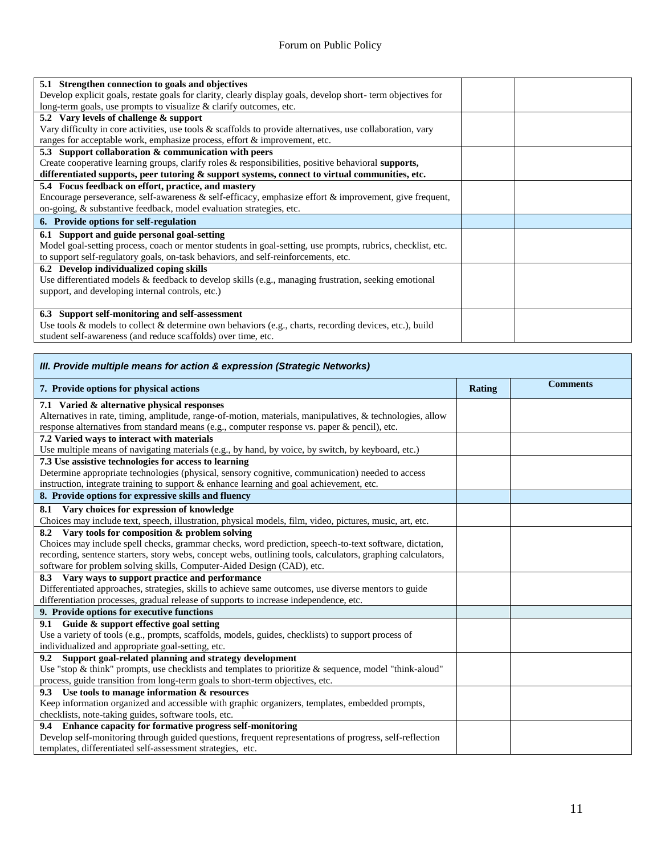| 5.1 Strengthen connection to goals and objectives                                                             |  |
|---------------------------------------------------------------------------------------------------------------|--|
| Develop explicit goals, restate goals for clarity, clearly display goals, develop short-term objectives for   |  |
| long-term goals, use prompts to visualize & clarify outcomes, etc.                                            |  |
| 5.2 Vary levels of challenge & support                                                                        |  |
| Vary difficulty in core activities, use tools $\&$ scaffolds to provide alternatives, use collaboration, vary |  |
| ranges for acceptable work, emphasize process, effort & improvement, etc.                                     |  |
| 5.3 Support collaboration & communication with peers                                                          |  |
| Create cooperative learning groups, clarify roles & responsibilities, positive behavioral supports,           |  |
| differentiated supports, peer tutoring & support systems, connect to virtual communities, etc.                |  |
| 5.4 Focus feedback on effort, practice, and mastery                                                           |  |
| Encourage perseverance, self-awareness $\&$ self-efficacy, emphasize effort $\&$ improvement, give frequent,  |  |
| on-going, & substantive feedback, model evaluation strategies, etc.                                           |  |
| 6. Provide options for self-regulation                                                                        |  |
| 6.1 Support and guide personal goal-setting                                                                   |  |
| Model goal-setting process, coach or mentor students in goal-setting, use prompts, rubrics, checklist, etc.   |  |
| to support self-regulatory goals, on-task behaviors, and self-reinforcements, etc.                            |  |
| 6.2 Develop individualized coping skills                                                                      |  |
| Use differentiated models & feedback to develop skills (e.g., managing frustration, seeking emotional         |  |
| support, and developing internal controls, etc.)                                                              |  |
|                                                                                                               |  |
| 6.3 Support self-monitoring and self-assessment                                                               |  |
| Use tools & models to collect & determine own behaviors (e.g., charts, recording devices, etc.), build        |  |
| student self-awareness (and reduce scaffolds) over time, etc.                                                 |  |

| III. Provide multiple means for action & expression (Strategic Networks)                                    |               |                 |  |
|-------------------------------------------------------------------------------------------------------------|---------------|-----------------|--|
| 7. Provide options for physical actions                                                                     | <b>Rating</b> | <b>Comments</b> |  |
| 7.1 Varied & alternative physical responses                                                                 |               |                 |  |
| Alternatives in rate, timing, amplitude, range-of-motion, materials, manipulatives, & technologies, allow   |               |                 |  |
| response alternatives from standard means (e.g., computer response vs. paper & pencil), etc.                |               |                 |  |
| 7.2 Varied ways to interact with materials                                                                  |               |                 |  |
| Use multiple means of navigating materials (e.g., by hand, by voice, by switch, by keyboard, etc.)          |               |                 |  |
| 7.3 Use assistive technologies for access to learning                                                       |               |                 |  |
| Determine appropriate technologies (physical, sensory cognitive, communication) needed to access            |               |                 |  |
| instruction, integrate training to support & enhance learning and goal achievement, etc.                    |               |                 |  |
| 8. Provide options for expressive skills and fluency                                                        |               |                 |  |
| 8.1 Vary choices for expression of knowledge                                                                |               |                 |  |
| Choices may include text, speech, illustration, physical models, film, video, pictures, music, art, etc.    |               |                 |  |
| 8.2 Vary tools for composition & problem solving                                                            |               |                 |  |
| Choices may include spell checks, grammar checks, word prediction, speech-to-text software, dictation,      |               |                 |  |
| recording, sentence starters, story webs, concept webs, outlining tools, calculators, graphing calculators, |               |                 |  |
| software for problem solving skills, Computer-Aided Design (CAD), etc.                                      |               |                 |  |
| 8.3 Vary ways to support practice and performance                                                           |               |                 |  |
| Differentiated approaches, strategies, skills to achieve same outcomes, use diverse mentors to guide        |               |                 |  |
| differentiation processes, gradual release of supports to increase independence, etc.                       |               |                 |  |
| 9. Provide options for executive functions                                                                  |               |                 |  |
| 9.1 Guide & support effective goal setting                                                                  |               |                 |  |
| Use a variety of tools (e.g., prompts, scaffolds, models, guides, checklists) to support process of         |               |                 |  |
| individualized and appropriate goal-setting, etc.                                                           |               |                 |  |
| 9.2 Support goal-related planning and strategy development                                                  |               |                 |  |
| Use "stop & think" prompts, use checklists and templates to prioritize & sequence, model "think-aloud"      |               |                 |  |
| process, guide transition from long-term goals to short-term objectives, etc.                               |               |                 |  |
| 9.3 Use tools to manage information & resources                                                             |               |                 |  |
| Keep information organized and accessible with graphic organizers, templates, embedded prompts,             |               |                 |  |
| checklists, note-taking guides, software tools, etc.                                                        |               |                 |  |
| 9.4 Enhance capacity for formative progress self-monitoring                                                 |               |                 |  |
| Develop self-monitoring through guided questions, frequent representations of progress, self-reflection     |               |                 |  |
| templates, differentiated self-assessment strategies, etc.                                                  |               |                 |  |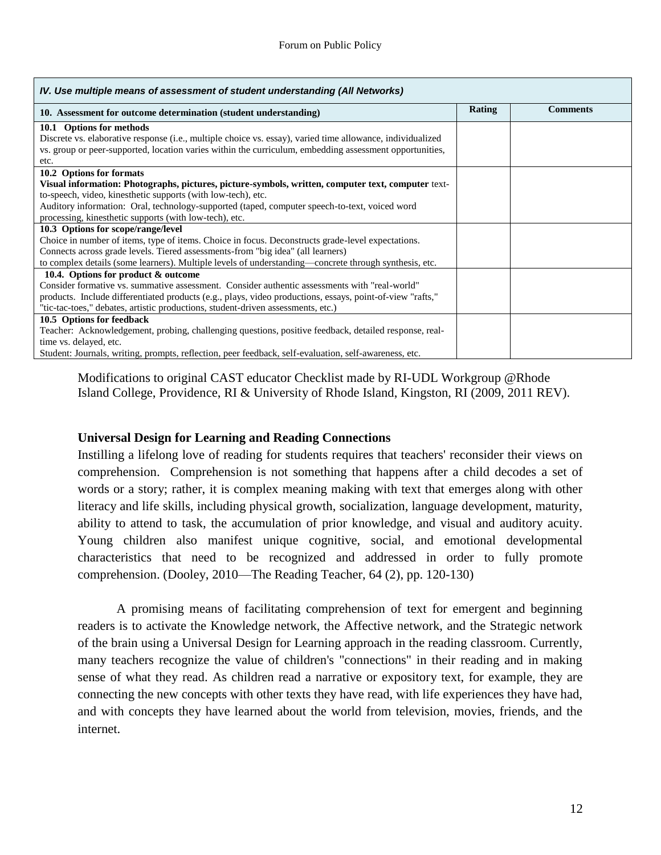| IV. Use multiple means of assessment of student understanding (All Networks)                               |        |                 |
|------------------------------------------------------------------------------------------------------------|--------|-----------------|
| 10. Assessment for outcome determination (student understanding)                                           | Rating | <b>Comments</b> |
| 10.1 Options for methods                                                                                   |        |                 |
| Discrete vs. elaborative response (i.e., multiple choice vs. essay), varied time allowance, individualized |        |                 |
| vs. group or peer-supported, location varies within the curriculum, embedding assessment opportunities,    |        |                 |
| etc.                                                                                                       |        |                 |
| 10.2 Options for formats                                                                                   |        |                 |
| Visual information: Photographs, pictures, picture-symbols, written, computer text, computer text-         |        |                 |
| to-speech, video, kinesthetic supports (with low-tech), etc.                                               |        |                 |
| Auditory information: Oral, technology-supported (taped, computer speech-to-text, voiced word              |        |                 |
| processing, kinesthetic supports (with low-tech), etc.                                                     |        |                 |
| 10.3 Options for scope/range/level                                                                         |        |                 |
| Choice in number of items, type of items. Choice in focus. Deconstructs grade-level expectations.          |        |                 |
| Connects across grade levels. Tiered assessments-from "big idea" (all learners)                            |        |                 |
| to complex details (some learners). Multiple levels of understanding-concrete through synthesis, etc.      |        |                 |
| 10.4. Options for product & outcome                                                                        |        |                 |
| Consider formative vs. summative assessment. Consider authentic assessments with "real-world"              |        |                 |
| products. Include differentiated products (e.g., plays, video productions, essays, point-of-view "rafts,"  |        |                 |
| "tic-tac-toes," debates, artistic productions, student-driven assessments, etc.)                           |        |                 |
| 10.5 Options for feedback                                                                                  |        |                 |
| Teacher: Acknowledgement, probing, challenging questions, positive feedback, detailed response, real-      |        |                 |
| time vs. delayed, etc.                                                                                     |        |                 |
| Student: Journals, writing, prompts, reflection, peer feedback, self-evaluation, self-awareness, etc.      |        |                 |

Modifications to original CAST educator Checklist made by RI-UDL Workgroup @Rhode Island College, Providence, RI & University of Rhode Island, Kingston, RI (2009, 2011 REV).

#### **Universal Design for Learning and Reading Connections**

Instilling a lifelong love of reading for students requires that teachers' reconsider their views on comprehension. Comprehension is not something that happens after a child decodes a set of words or a story; rather, it is complex meaning making with text that emerges along with other literacy and life skills, including physical growth, socialization, language development, maturity, ability to attend to task, the accumulation of prior knowledge, and visual and auditory acuity. Young children also manifest unique cognitive, social, and emotional developmental characteristics that need to be recognized and addressed in order to fully promote comprehension. (Dooley, 2010—The Reading Teacher, 64 (2), pp. 120-130)

A promising means of facilitating comprehension of text for emergent and beginning readers is to activate the Knowledge network, the Affective network, and the Strategic network of the brain using a Universal Design for Learning approach in the reading classroom. Currently, many teachers recognize the value of children's "connections" in their reading and in making sense of what they read. As children read a narrative or expository text, for example, they are connecting the new concepts with other texts they have read, with life experiences they have had, and with concepts they have learned about the world from television, movies, friends, and the internet.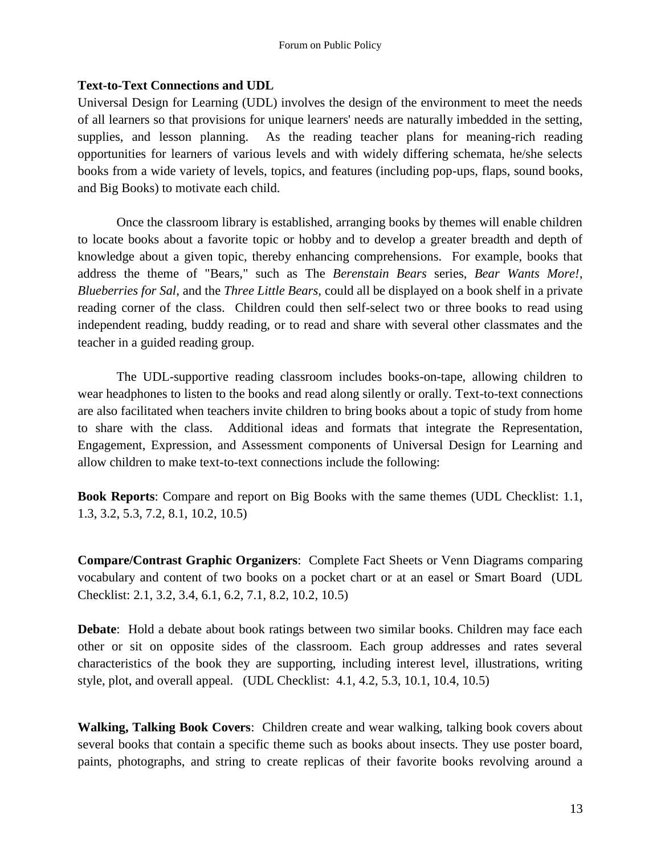# **Text-to-Text Connections and UDL**

Universal Design for Learning (UDL) involves the design of the environment to meet the needs of all learners so that provisions for unique learners' needs are naturally imbedded in the setting, supplies, and lesson planning. As the reading teacher plans for meaning-rich reading opportunities for learners of various levels and with widely differing schemata, he/she selects books from a wide variety of levels, topics, and features (including pop-ups, flaps, sound books, and Big Books) to motivate each child.

Once the classroom library is established, arranging books by themes will enable children to locate books about a favorite topic or hobby and to develop a greater breadth and depth of knowledge about a given topic, thereby enhancing comprehensions. For example, books that address the theme of "Bears," such as The *Berenstain Bears* series, *Bear Wants More!*, *Blueberries for Sal*, and the *Three Little Bears,* could all be displayed on a book shelf in a private reading corner of the class. Children could then self-select two or three books to read using independent reading, buddy reading, or to read and share with several other classmates and the teacher in a guided reading group.

The UDL-supportive reading classroom includes books-on-tape, allowing children to wear headphones to listen to the books and read along silently or orally. Text-to-text connections are also facilitated when teachers invite children to bring books about a topic of study from home to share with the class. Additional ideas and formats that integrate the Representation, Engagement, Expression, and Assessment components of Universal Design for Learning and allow children to make text-to-text connections include the following:

**Book Reports**: Compare and report on Big Books with the same themes (UDL Checklist: 1.1, 1.3, 3.2, 5.3, 7.2, 8.1, 10.2, 10.5)

**Compare/Contrast Graphic Organizers**: Complete Fact Sheets or Venn Diagrams comparing vocabulary and content of two books on a pocket chart or at an easel or Smart Board (UDL Checklist: 2.1, 3.2, 3.4, 6.1, 6.2, 7.1, 8.2, 10.2, 10.5)

**Debate**: Hold a debate about book ratings between two similar books. Children may face each other or sit on opposite sides of the classroom. Each group addresses and rates several characteristics of the book they are supporting, including interest level, illustrations, writing style, plot, and overall appeal. (UDL Checklist: 4.1, 4.2, 5.3, 10.1, 10.4, 10.5)

**Walking, Talking Book Covers**: Children create and wear walking, talking book covers about several books that contain a specific theme such as books about insects. They use poster board, paints, photographs, and string to create replicas of their favorite books revolving around a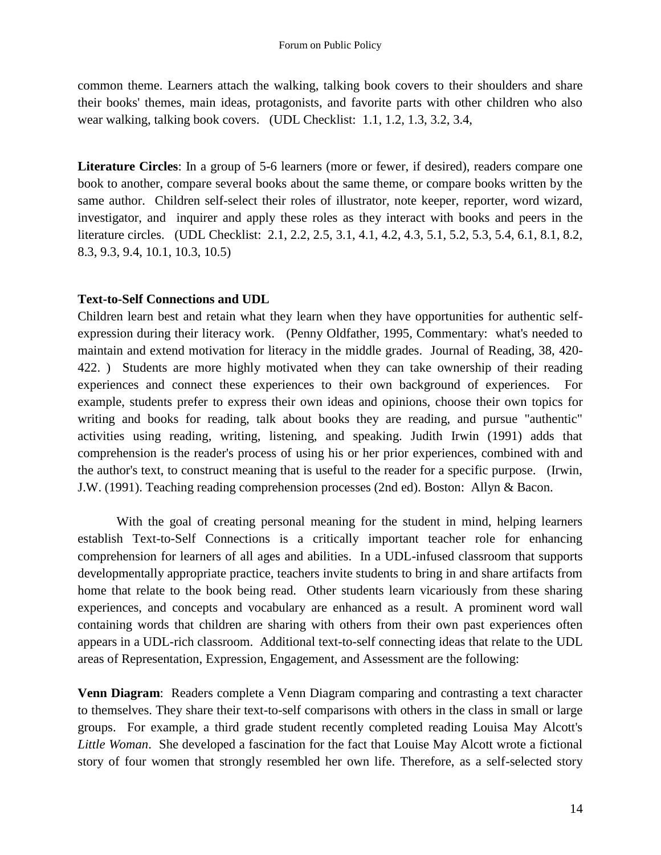common theme. Learners attach the walking, talking book covers to their shoulders and share their books' themes, main ideas, protagonists, and favorite parts with other children who also wear walking, talking book covers. (UDL Checklist: 1.1, 1.2, 1.3, 3.2, 3.4,

Literature Circles: In a group of 5-6 learners (more or fewer, if desired), readers compare one book to another, compare several books about the same theme, or compare books written by the same author. Children self-select their roles of illustrator, note keeper, reporter, word wizard, investigator, and inquirer and apply these roles as they interact with books and peers in the literature circles. (UDL Checklist: 2.1, 2.2, 2.5, 3.1, 4.1, 4.2, 4.3, 5.1, 5.2, 5.3, 5.4, 6.1, 8.1, 8.2, 8.3, 9.3, 9.4, 10.1, 10.3, 10.5)

# **Text-to-Self Connections and UDL**

Children learn best and retain what they learn when they have opportunities for authentic selfexpression during their literacy work. (Penny Oldfather, 1995, Commentary: what's needed to maintain and extend motivation for literacy in the middle grades. Journal of Reading, 38, 420- 422. ) Students are more highly motivated when they can take ownership of their reading experiences and connect these experiences to their own background of experiences. For example, students prefer to express their own ideas and opinions, choose their own topics for writing and books for reading, talk about books they are reading, and pursue "authentic" activities using reading, writing, listening, and speaking. Judith Irwin (1991) adds that comprehension is the reader's process of using his or her prior experiences, combined with and the author's text, to construct meaning that is useful to the reader for a specific purpose. (Irwin, J.W. (1991). Teaching reading comprehension processes (2nd ed). Boston: Allyn & Bacon.

With the goal of creating personal meaning for the student in mind, helping learners establish Text-to-Self Connections is a critically important teacher role for enhancing comprehension for learners of all ages and abilities. In a UDL-infused classroom that supports developmentally appropriate practice, teachers invite students to bring in and share artifacts from home that relate to the book being read. Other students learn vicariously from these sharing experiences, and concepts and vocabulary are enhanced as a result. A prominent word wall containing words that children are sharing with others from their own past experiences often appears in a UDL-rich classroom. Additional text-to-self connecting ideas that relate to the UDL areas of Representation, Expression, Engagement, and Assessment are the following:

**Venn Diagram**: Readers complete a Venn Diagram comparing and contrasting a text character to themselves. They share their text-to-self comparisons with others in the class in small or large groups. For example, a third grade student recently completed reading Louisa May Alcott's *Little Woman*. She developed a fascination for the fact that Louise May Alcott wrote a fictional story of four women that strongly resembled her own life. Therefore, as a self-selected story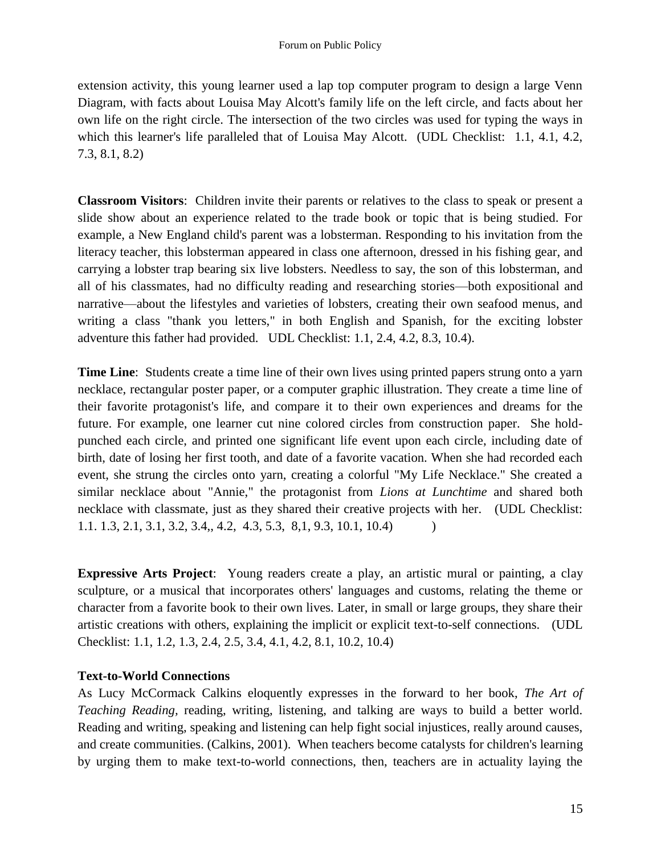extension activity, this young learner used a lap top computer program to design a large Venn Diagram, with facts about Louisa May Alcott's family life on the left circle, and facts about her own life on the right circle. The intersection of the two circles was used for typing the ways in which this learner's life paralleled that of Louisa May Alcott. (UDL Checklist: 1.1, 4.1, 4.2, 7.3, 8.1, 8.2)

**Classroom Visitors**: Children invite their parents or relatives to the class to speak or present a slide show about an experience related to the trade book or topic that is being studied. For example, a New England child's parent was a lobsterman. Responding to his invitation from the literacy teacher, this lobsterman appeared in class one afternoon, dressed in his fishing gear, and carrying a lobster trap bearing six live lobsters. Needless to say, the son of this lobsterman, and all of his classmates, had no difficulty reading and researching stories—both expositional and narrative—about the lifestyles and varieties of lobsters, creating their own seafood menus, and writing a class "thank you letters," in both English and Spanish, for the exciting lobster adventure this father had provided. UDL Checklist: 1.1, 2.4, 4.2, 8.3, 10.4).

**Time Line**: Students create a time line of their own lives using printed papers strung onto a yarn necklace, rectangular poster paper, or a computer graphic illustration. They create a time line of their favorite protagonist's life, and compare it to their own experiences and dreams for the future. For example, one learner cut nine colored circles from construction paper. She holdpunched each circle, and printed one significant life event upon each circle, including date of birth, date of losing her first tooth, and date of a favorite vacation. When she had recorded each event, she strung the circles onto yarn, creating a colorful "My Life Necklace." She created a similar necklace about "Annie," the protagonist from *Lions at Lunchtime* and shared both necklace with classmate, just as they shared their creative projects with her. (UDL Checklist: 1.1. 1.3, 2.1, 3.1, 3.2, 3.4,, 4.2, 4.3, 5.3, 8,1, 9.3, 10.1, 10.4) )

**Expressive Arts Project**: Young readers create a play, an artistic mural or painting, a clay sculpture, or a musical that incorporates others' languages and customs, relating the theme or character from a favorite book to their own lives. Later, in small or large groups, they share their artistic creations with others, explaining the implicit or explicit text-to-self connections. (UDL Checklist: 1.1, 1.2, 1.3, 2.4, 2.5, 3.4, 4.1, 4.2, 8.1, 10.2, 10.4)

# **Text-to-World Connections**

As Lucy McCormack Calkins eloquently expresses in the forward to her book, *The Art of Teaching Reading, reading, writing, listening, and talking are ways to build a better world.* Reading and writing, speaking and listening can help fight social injustices, really around causes, and create communities. (Calkins, 2001). When teachers become catalysts for children's learning by urging them to make text-to-world connections, then, teachers are in actuality laying the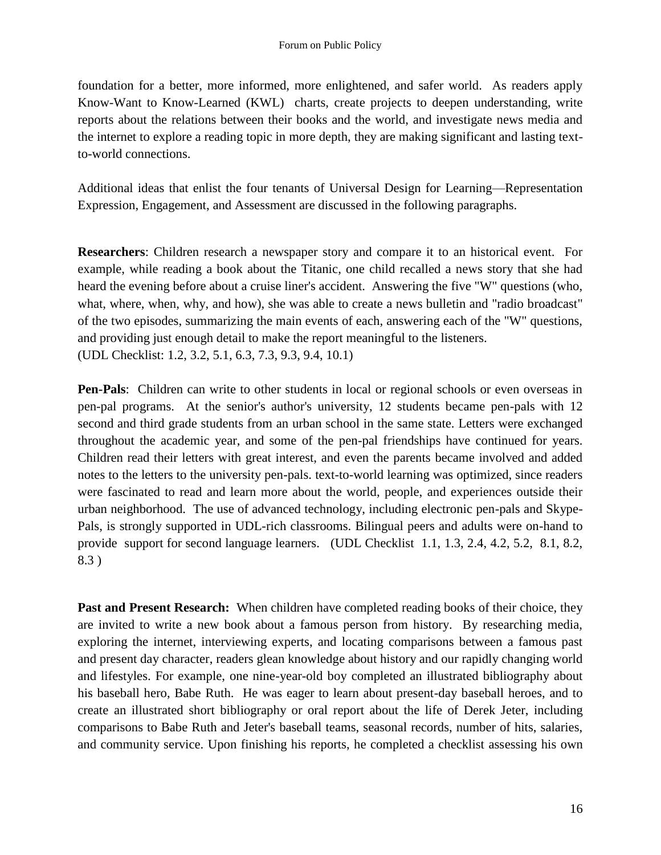foundation for a better, more informed, more enlightened, and safer world. As readers apply Know-Want to Know-Learned (KWL) charts, create projects to deepen understanding, write reports about the relations between their books and the world, and investigate news media and the internet to explore a reading topic in more depth, they are making significant and lasting textto-world connections.

Additional ideas that enlist the four tenants of Universal Design for Learning—Representation Expression, Engagement, and Assessment are discussed in the following paragraphs.

**Researchers**: Children research a newspaper story and compare it to an historical event. For example, while reading a book about the Titanic, one child recalled a news story that she had heard the evening before about a cruise liner's accident. Answering the five "W" questions (who, what, where, when, why, and how), she was able to create a news bulletin and "radio broadcast" of the two episodes, summarizing the main events of each, answering each of the "W" questions, and providing just enough detail to make the report meaningful to the listeners. (UDL Checklist: 1.2, 3.2, 5.1, 6.3, 7.3, 9.3, 9.4, 10.1)

**Pen-Pals**: Children can write to other students in local or regional schools or even overseas in pen-pal programs. At the senior's author's university, 12 students became pen-pals with 12 second and third grade students from an urban school in the same state. Letters were exchanged throughout the academic year, and some of the pen-pal friendships have continued for years. Children read their letters with great interest, and even the parents became involved and added notes to the letters to the university pen-pals. text-to-world learning was optimized, since readers were fascinated to read and learn more about the world, people, and experiences outside their urban neighborhood. The use of advanced technology, including electronic pen-pals and Skype-Pals, is strongly supported in UDL-rich classrooms. Bilingual peers and adults were on-hand to provide support for second language learners. (UDL Checklist 1.1, 1.3, 2.4, 4.2, 5.2, 8.1, 8.2, 8.3 )

Past and Present Research: When children have completed reading books of their choice, they are invited to write a new book about a famous person from history. By researching media, exploring the internet, interviewing experts, and locating comparisons between a famous past and present day character, readers glean knowledge about history and our rapidly changing world and lifestyles. For example, one nine-year-old boy completed an illustrated bibliography about his baseball hero, Babe Ruth. He was eager to learn about present-day baseball heroes, and to create an illustrated short bibliography or oral report about the life of Derek Jeter, including comparisons to Babe Ruth and Jeter's baseball teams, seasonal records, number of hits, salaries, and community service. Upon finishing his reports, he completed a checklist assessing his own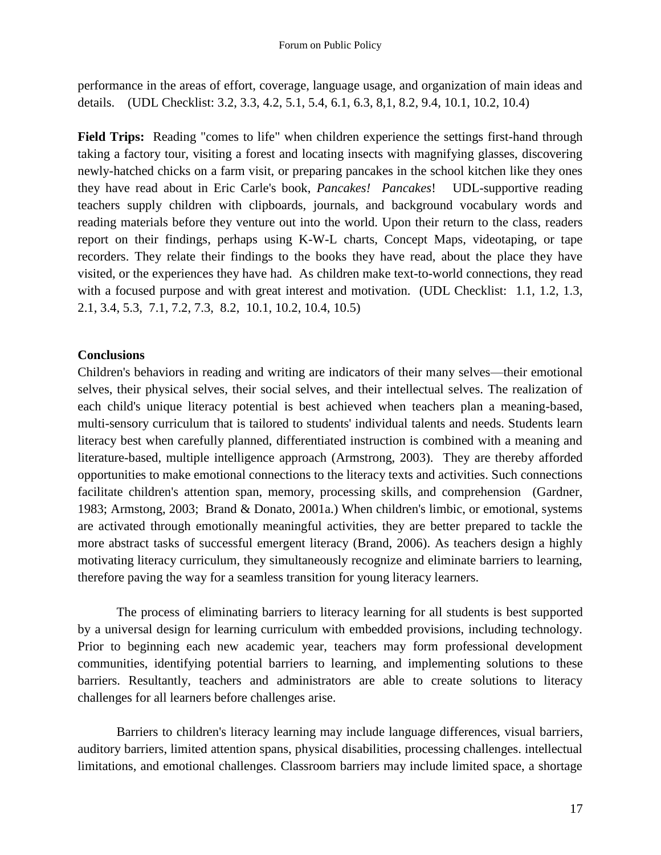performance in the areas of effort, coverage, language usage, and organization of main ideas and details. (UDL Checklist: 3.2, 3.3, 4.2, 5.1, 5.4, 6.1, 6.3, 8,1, 8.2, 9.4, 10.1, 10.2, 10.4)

**Field Trips:** Reading "comes to life" when children experience the settings first-hand through taking a factory tour, visiting a forest and locating insects with magnifying glasses, discovering newly-hatched chicks on a farm visit, or preparing pancakes in the school kitchen like they ones they have read about in Eric Carle's book, *Pancakes! Pancakes*! UDL-supportive reading teachers supply children with clipboards, journals, and background vocabulary words and reading materials before they venture out into the world. Upon their return to the class, readers report on their findings, perhaps using K-W-L charts, Concept Maps, videotaping, or tape recorders. They relate their findings to the books they have read, about the place they have visited, or the experiences they have had. As children make text-to-world connections, they read with a focused purpose and with great interest and motivation. (UDL Checklist: 1.1, 1.2, 1.3, 2.1, 3.4, 5.3, 7.1, 7.2, 7.3, 8.2, 10.1, 10.2, 10.4, 10.5)

# **Conclusions**

Children's behaviors in reading and writing are indicators of their many selves—their emotional selves, their physical selves, their social selves, and their intellectual selves. The realization of each child's unique literacy potential is best achieved when teachers plan a meaning-based, multi-sensory curriculum that is tailored to students' individual talents and needs. Students learn literacy best when carefully planned, differentiated instruction is combined with a meaning and literature-based, multiple intelligence approach (Armstrong, 2003). They are thereby afforded opportunities to make emotional connections to the literacy texts and activities. Such connections facilitate children's attention span, memory, processing skills, and comprehension (Gardner, 1983; Armstong, 2003; Brand & Donato, 2001a.) When children's limbic, or emotional, systems are activated through emotionally meaningful activities, they are better prepared to tackle the more abstract tasks of successful emergent literacy (Brand, 2006). As teachers design a highly motivating literacy curriculum, they simultaneously recognize and eliminate barriers to learning, therefore paving the way for a seamless transition for young literacy learners.

The process of eliminating barriers to literacy learning for all students is best supported by a universal design for learning curriculum with embedded provisions, including technology. Prior to beginning each new academic year, teachers may form professional development communities, identifying potential barriers to learning, and implementing solutions to these barriers. Resultantly, teachers and administrators are able to create solutions to literacy challenges for all learners before challenges arise.

Barriers to children's literacy learning may include language differences, visual barriers, auditory barriers, limited attention spans, physical disabilities, processing challenges. intellectual limitations, and emotional challenges. Classroom barriers may include limited space, a shortage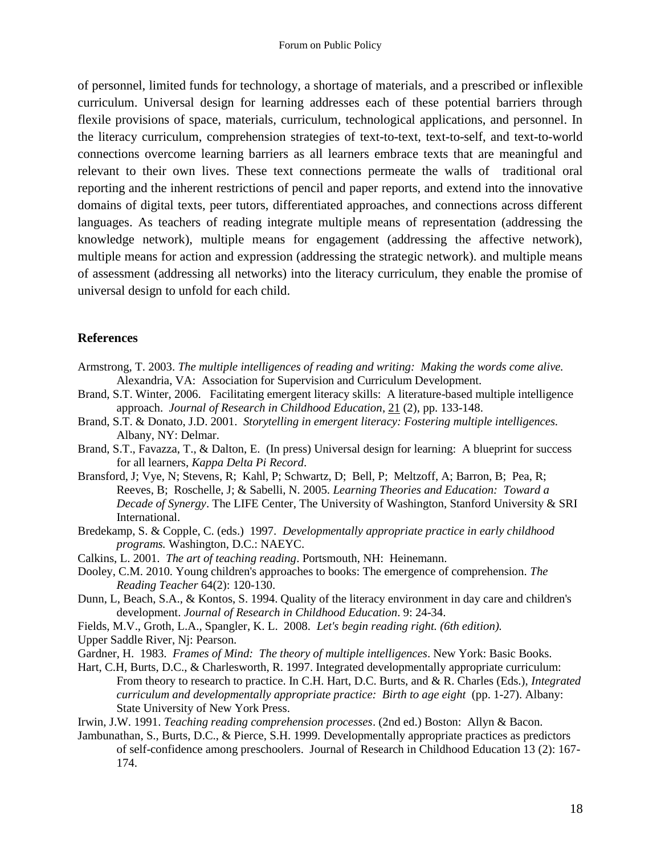of personnel, limited funds for technology, a shortage of materials, and a prescribed or inflexible curriculum. Universal design for learning addresses each of these potential barriers through flexile provisions of space, materials, curriculum, technological applications, and personnel. In the literacy curriculum, comprehension strategies of text-to-text, text-to-self, and text-to-world connections overcome learning barriers as all learners embrace texts that are meaningful and relevant to their own lives. These text connections permeate the walls of traditional oral reporting and the inherent restrictions of pencil and paper reports, and extend into the innovative domains of digital texts, peer tutors, differentiated approaches, and connections across different languages. As teachers of reading integrate multiple means of representation (addressing the knowledge network), multiple means for engagement (addressing the affective network), multiple means for action and expression (addressing the strategic network). and multiple means of assessment (addressing all networks) into the literacy curriculum, they enable the promise of universal design to unfold for each child.

### **References**

- Armstrong, T. 2003. *The multiple intelligences of reading and writing: Making the words come alive.*  Alexandria, VA: Association for Supervision and Curriculum Development.
- Brand, S.T. Winter, 2006. Facilitating emergent literacy skills: A literature-based multiple intelligence approach. *Journal of Research in Childhood Education*, 21 (2), pp. 133-148.
- Brand, S.T. & Donato, J.D. 2001. *Storytelling in emergent literacy: Fostering multiple intelligences.* Albany, NY: Delmar.
- Brand, S.T., Favazza, T., & Dalton, E. (In press) Universal design for learning: A blueprint for success for all learners, *Kappa Delta Pi Record*.
- Bransford, J; Vye, N; Stevens, R; Kahl, P; Schwartz, D; Bell, P; Meltzoff, A; Barron, B; Pea, R; Reeves, B; Roschelle, J; & Sabelli, N. 2005. *Learning Theories and Education: Toward a Decade of Synergy*. The LIFE Center, The University of Washington, Stanford University & SRI International.
- Bredekamp, S. & Copple, C. (eds.) 1997. *Developmentally appropriate practice in early childhood programs.* Washington, D.C.: NAEYC.
- Calkins, L. 2001. *The art of teaching reading*. Portsmouth, NH: Heinemann.
- Dooley, C.M. 2010. Young children's approaches to books: The emergence of comprehension. *The Reading Teacher* 64(2): 120-130.
- Dunn, L, Beach, S.A., & Kontos, S. 1994. Quality of the literacy environment in day care and children's development. *Journal of Research in Childhood Education*. 9: 24-34.
- Fields, M.V., Groth, L.A., Spangler, K. L. 2008. *Let's begin reading right. (6th edition).*
- Upper Saddle River, Nj: Pearson.
- Gardner, H. 1983. *Frames of Mind: The theory of multiple intelligences*. New York: Basic Books.
- Hart, C.H, Burts, D.C., & Charlesworth, R. 1997. Integrated developmentally appropriate curriculum: From theory to research to practice. In C.H. Hart, D.C. Burts, and & R. Charles (Eds.), *Integrated curriculum and developmentally appropriate practice: Birth to age eight* (pp. 1-27). Albany: State University of New York Press.

Irwin, J.W. 1991. *Teaching reading comprehension processes*. (2nd ed.) Boston: Allyn & Bacon.

Jambunathan, S., Burts, D.C., & Pierce, S.H. 1999. Developmentally appropriate practices as predictors of self-confidence among preschoolers. Journal of Research in Childhood Education 13 (2): 167- 174.